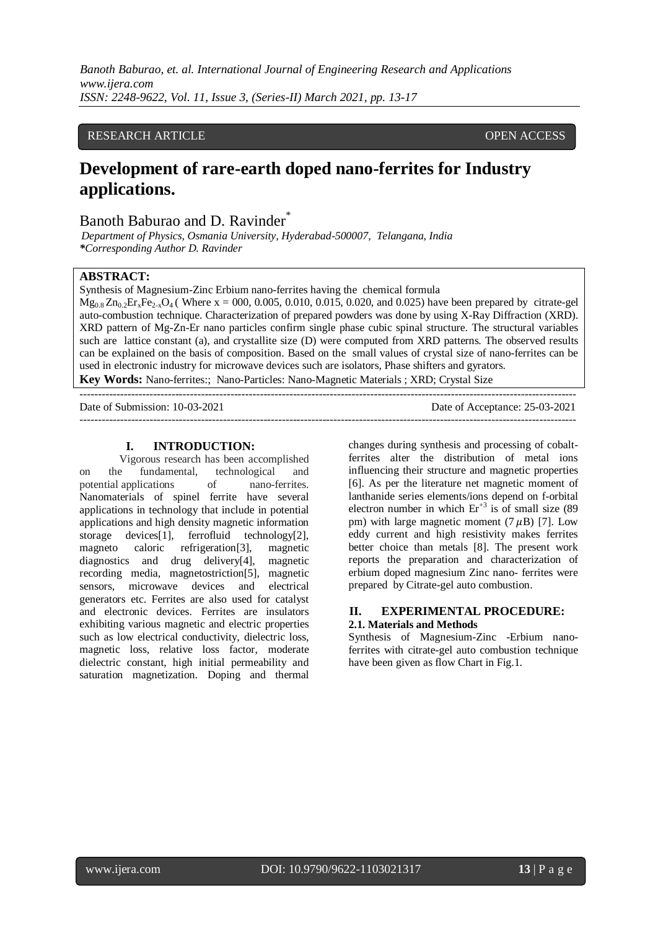*Banoth Baburao, et. al. International Journal of Engineering Research and Applications www.ijera.com ISSN: 2248-9622, Vol. 11, Issue 3, (Series-II) March 2021, pp. 13-17*

# RESEARCH ARTICLE **CONSERVERS** OPEN ACCESS

# **Development of rare-earth doped nano-ferrites for Industry applications.**

# Banoth Baburao and D. Ravinder<sup>®</sup>

*Department of Physics, Osmania University, Hyderabad-500007, Telangana, India \*Corresponding Author D. Ravinder*

#### **ABSTRACT:**

Synthesis of Magnesium-Zinc Erbium nano-ferrites having the chemical formula

 $Mg_{0.8}Zn_{0.2}Er_xFe_{2x}O_4$  (Where x = 000, 0.005, 0.010, 0.015, 0.020, and 0.025) have been prepared by citrate-gel auto-combustion technique. Characterization of prepared powders was done by using X-Ray Diffraction (XRD). XRD pattern of Mg-Zn-Er nano particles confirm single phase cubic spinal structure. The structural variables such are lattice constant (a), and crystallite size (D) were computed from XRD patterns. The observed results can be explained on the basis of composition. Based on the small values of crystal size of nano-ferrites can be used in electronic industry for microwave devices such are isolators, Phase shifters and gyrators. **Key Words:** Nano-ferrites:; Nano-Particles: Nano-Magnetic Materials ; XRD; Crystal Size

--------------------------------------------------------------------------------------------------------------------------------------- Date of Submission: 10-03-2021 Date of Acceptance: 25-03-2021 ---------------------------------------------------------------------------------------------------------------------------------------

#### **I. INTRODUCTION:**

Vigorous research has been accomplished on the fundamental, technological and potential applications of nano-ferrites. Nanomaterials of spinel ferrite have several applications in technology that include in potential applications and high density magnetic information storage devices[1], ferrofluid technology[2], magneto caloric refrigeration[3], magnetic diagnostics and drug delivery[4], magnetic recording media, magnetostriction[5], magnetic sensors, microwave devices and electrical generators etc. Ferrites are also used for catalyst and electronic devices. Ferrites are insulators exhibiting various magnetic and electric properties such as low electrical conductivity, dielectric loss, magnetic loss, relative loss factor, moderate dielectric constant, high initial permeability and saturation magnetization. Doping and thermal

changes during synthesis and processing of cobaltferrites alter the distribution of metal ions influencing their structure and magnetic properties [6]. As per the literature net magnetic moment of lanthanide series elements/ions depend on f-orbital electron number in which  $Er^{+3}$  is of small size (89) pm) with large magnetic moment  $(7 \mu B)$  [7]. Low eddy current and high resistivity makes ferrites better choice than metals [8]. The present work reports the preparation and characterization of erbium doped magnesium Zinc nano- ferrites were prepared by Citrate-gel auto combustion.

# **II. EXPERIMENTAL PROCEDURE: 2.1. Materials and Methods**

Synthesis of Magnesium-Zinc -Erbium nanoferrites with citrate-gel auto combustion technique have been given as flow Chart in Fig.1.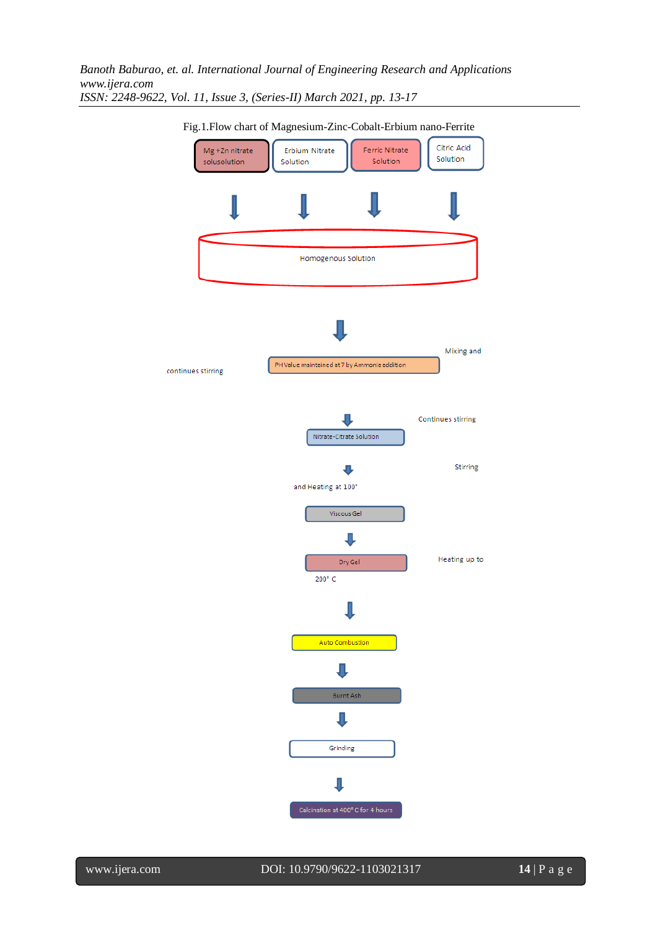*Banoth Baburao, et. al. International Journal of Engineering Research and Applications www.ijera.com ISSN: 2248-9622, Vol. 11, Issue 3, (Series-II) March 2021, pp. 13-17*



Fig.1.Flow chart of Magnesium-Zinc-Cobalt-Erbium nano-Ferrite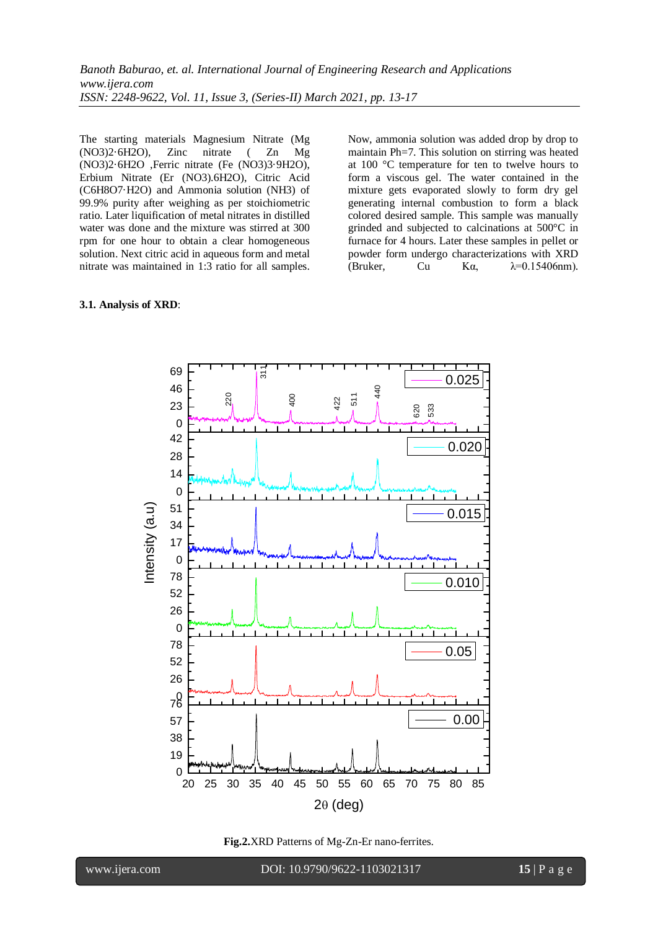The starting materials Magnesium Nitrate (Mg (NO3)2·6H2O), Zinc nitrate ( Zn Mg (NO3)2·6H2O ,Ferric nitrate (Fe (NO3)3·9H2O), Erbium Nitrate (Er (NO3).6H2O), Citric Acid (C6H8O7·H2O) and Ammonia solution (NH3) of 99.9% purity after weighing as per stoichiometric ratio. Later liquification of metal nitrates in distilled water was done and the mixture was stirred at 300 rpm for one hour to obtain a clear homogeneous solution. Next citric acid in aqueous form and metal nitrate was maintained in 1:3 ratio for all samples.

Now, ammonia solution was added drop by drop to maintain Ph=7. This solution on stirring was heated at 100 °C temperature for ten to twelve hours to form a viscous gel. The water contained in the mixture gets evaporated slowly to form dry gel generating internal combustion to form a black colored desired sample. This sample was manually grinded and subjected to calcinations at 500°C in furnace for 4 hours. Later these samples in pellet or powder form undergo characterizations with XRD (Bruker, Cu K $\alpha$ ,  $\lambda$ =0.15406nm).

#### **3.1. Analysis of XRD**:





www.ijera.com DOI: 10.9790/9622-1103021317 **15** | P a g e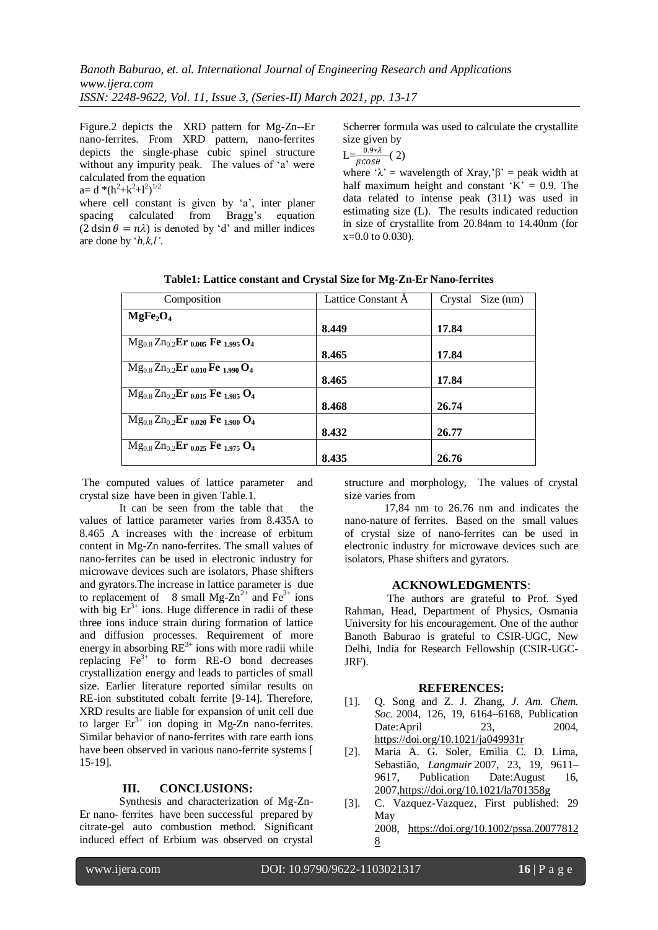Figure.2 depicts the XRD pattern for Mg-Zn--Er nano-ferrites. From XRD pattern, nano-ferrites depicts the single-phase cubic spinel structure without any impurity peak. The values of 'a' were calculated from the equation  $a = d * (h^2 + k^2 + l^2)^{1/2}$ 

where cell constant is given by 'a', inter planer spacing calculated from Bragg's equation  $(2 \text{ dsin } \theta = n\lambda)$  is denoted by 'd' and miller indices are done by '*h,k,l'*.

Scherrer formula was used to calculate the crystallite size given by

 $\mathcal{L}=\frac{0.9*\lambda}{\beta cos\theta}$  (2)

where ' $\lambda$ ' = wavelength of Xray, ' $\beta$ ' = peak width at half maximum height and constant  $K' = 0.9$ . The data related to intense peak (311) was used in estimating size (L). The results indicated reduction in size of crystallite from 20.84nm to 14.40nm (for x=0.0 to 0.030).

| Composition                                                               | Lattice Constant A | Size (nm)<br>Crystal |
|---------------------------------------------------------------------------|--------------------|----------------------|
| MgFe <sub>2</sub> O <sub>4</sub>                                          |                    |                      |
|                                                                           | 8.449              | 17.84                |
| $Mg_{0.8}Zn_{0.2}E$ r <sub>0.005</sub> Fe <sub>1.995</sub> O <sub>4</sub> |                    |                      |
|                                                                           | 8.465              | 17.84                |
| $Mg_{0.8}Zn_{0.2}$ Er <sub>0.010</sub> Fe <sub>1.990</sub> O <sub>4</sub> |                    |                      |
|                                                                           | 8.465              | 17.84                |
| $Mg_{0.8}Zn_{0.2}$ Er <sub>0.015</sub> Fe <sub>1.985</sub> O <sub>4</sub> |                    |                      |
|                                                                           | 8.468              | 26.74                |
| $Mg_{0.8}Zn_{0.2}$ Er <sub>0.020</sub> Fe <sub>1.980</sub> O <sub>4</sub> |                    |                      |
|                                                                           | 8.432              | 26.77                |
| $Mg_{0.8}Zn_{0.2}$ Er <sub>0.025</sub> Fe <sub>1.975</sub> O <sub>4</sub> |                    |                      |
|                                                                           | 8.435              | 26.76                |

**Table1: Lattice constant and Crystal Size for Mg-Zn-Er Nano-ferrites**

The computed values of lattice parameter and crystal size have been in given Table.1.

It can be seen from the table that the values of lattice parameter varies from 8.435A to 8.465 A increases with the increase of erbitum content in Mg-Zn nano-ferrites. The small values of nano-ferrites can be used in electronic industry for microwave devices such are isolators, Phase shifters and gyrators.The increase in lattice parameter is due to replacement of 8 small Mg- $Zn^{2+}$  and Fe<sup>3+</sup> ions with big  $Er^{3+}$  ions. Huge difference in radii of these three ions induce strain during formation of lattice and diffusion processes. Requirement of more energy in absorbing  $RE^{3+}$  ions with more radii while replacing  $Fe<sup>3+</sup>$  to form RE-O bond decreases crystallization energy and leads to particles of small size. Earlier literature reported similar results on RE-ion substituted cobalt ferrite [9-14]. Therefore, XRD results are liable for expansion of unit cell due to larger  $Er^{3+}$  ion doping in Mg-Zn nano-ferrites. Similar behavior of nano-ferrites with rare earth ions have been observed in various nano-ferrite systems [ 15-19].

# **III. CONCLUSIONS:**

Synthesis and characterization of Mg-Zn-Er nano- ferrites have been successful prepared by citrate-gel auto combustion method. Significant induced effect of Erbium was observed on crystal structure and morphology, The values of crystal size varies from

17,84 nm to 26.76 nm and indicates the nano-nature of ferrites. Based on the small values of crystal size of nano-ferrites can be used in electronic industry for microwave devices such are isolators, Phase shifters and gyrators.

# **ACKNOWLEDGMENTS**:

The authors are grateful to Prof. Syed Rahman, Head, Department of Physics, Osmania University for his encouragement. One of the author Banoth Baburao is grateful to CSIR-UGC, New Delhi, India for Research Fellowship (CSIR-UGC-JRF).

# **REFERENCES:**

- [1]. Q. Song and Z. J. Zhang, *J. Am. Chem. Soc.* 2004, 126, 19, 6164–6168, Publication Date: April 23, 2004, <https://doi.org/10.1021/ja049931r>
- [2]. Maria A. G. Soler, Emilia C. D. Lima, Sebastião, *Langmuir* 2007, 23, 19, 9611– 9617, Publication Date:August 16, 200[7,https://doi.org/10.1021/la701358g](https://doi.org/10.1021/la701358g)
- [3]. C. Vazquez-Vazquez, First published: 29 May 2008, [https://doi.org/10.1002/pssa.20077812](https://doi.org/10.1002/pssa.200778128) [8](https://doi.org/10.1002/pssa.200778128)